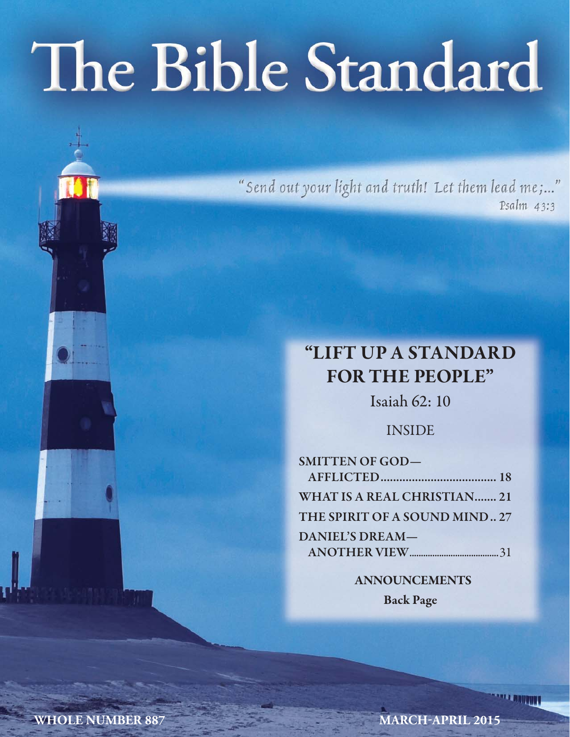# The Bible Standard

"Send out your light and truth! Let them lead me;..." Psalm 43:3

# **"LIFT UP A STANDARD FOR THE PEOPLE"**

Isaiah 62: 10

INSIDE

| <b>SMITTEN OF GOD-</b>             |  |
|------------------------------------|--|
|                                    |  |
| <b>WHAT IS A REAL CHRISTIAN 21</b> |  |
| THE SPIRIT OF A SOUND MIND 27      |  |
| <b>DANIEL'S DREAM-</b>             |  |
|                                    |  |
|                                    |  |

**ANNOUNCEMENTS Back Page**

**WHOLE NUMBER 887 MARCH-APRIL 2015**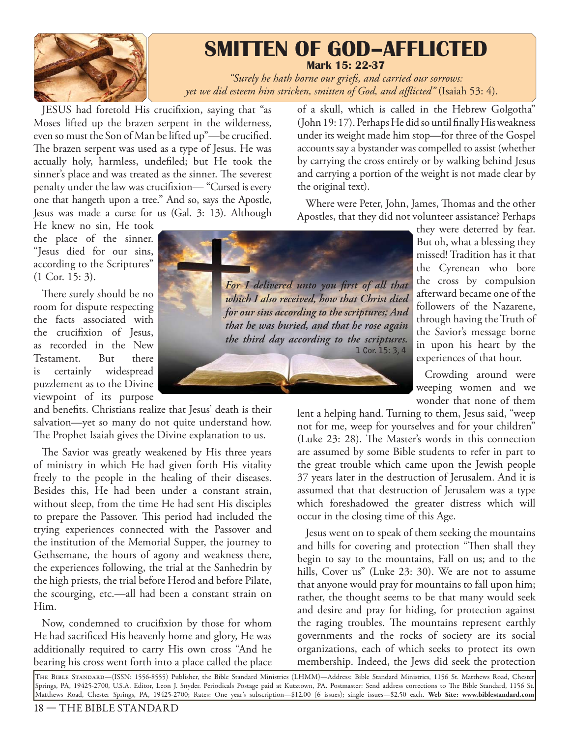

# **SMITTEN OF GOD–AFFLICTED Mark 15: 22-37**

*"Surely he hath borne our griefs, and carried our sorrows: yet we did esteem him stricken, smitten of God, and affl icted"* (Isaiah 53: 4).

JESUS had foretold His crucifixion, saying that "as Moses lifted up the brazen serpent in the wilderness, even so must the Son of Man be lifted up"—be crucified. The brazen serpent was used as a type of Jesus. He was actually holy, harmless, undefiled; but He took the sinner's place and was treated as the sinner. The severest penalty under the law was crucifixion— "Cursed is every one that hangeth upon a tree." And so, says the Apostle, Jesus was made a curse for us (Gal. 3: 13). Although

He knew no sin, He took the place of the sinner. "Jesus died for our sins, according to the Scriptures" (1 Cor. 15: 3).

There surely should be no room for dispute respecting the facts associated with the crucifixion of Jesus, as recorded in the New Testament. But there is certainly widespread puzzlement as to the Divine viewpoint of its purpose

and benefits. Christians realize that Jesus' death is their salvation—yet so many do not quite understand how. The Prophet Isaiah gives the Divine explanation to us.

The Savior was greatly weakened by His three years of ministry in which He had given forth His vitality freely to the people in the healing of their diseases. Besides this, He had been under a constant strain, without sleep, from the time He had sent His disciples to prepare the Passover. This period had included the trying experiences connected with the Passover and the institution of the Memorial Supper, the journey to Gethsemane, the hours of agony and weakness there, the experiences following, the trial at the Sanhedrin by the high priests, the trial before Herod and before Pilate, the scourging, etc.—all had been a constant strain on Him.

Now, condemned to crucifixion by those for whom He had sacrificed His heavenly home and glory, He was additionally required to carry His own cross "And he bearing his cross went forth into a place called the place

(John 19: 17). Perhaps He did so until finally His weakness under its weight made him stop—for three of the Gospel accounts say a bystander was compelled to assist (whether by carrying the cross entirely or by walking behind Jesus and carrying a portion of the weight is not made clear by the original text).

of a skull, which is called in the Hebrew Golgotha"

Where were Peter, John, James, Thomas and the other Apostles, that they did not volunteer assistance? Perhaps



Crowding around were weeping women and we wonder that none of them

lent a helping hand. Turning to them, Jesus said, "weep not for me, weep for yourselves and for your children" (Luke  $23: 28$ ). The Master's words in this connection are assumed by some Bible students to refer in part to the great trouble which came upon the Jewish people 37 years later in the destruction of Jerusalem. And it is assumed that that destruction of Jerusalem was a type which foreshadowed the greater distress which will occur in the closing time of this Age.

Jesus went on to speak of them seeking the mountains and hills for covering and protection "Then shall they begin to say to the mountains, Fall on us; and to the hills, Cover us" (Luke 23: 30). We are not to assume that anyone would pray for mountains to fall upon him; rather, the thought seems to be that many would seek and desire and pray for hiding, for protection against the raging troubles. The mountains represent earthly governments and the rocks of society are its social organizations, each of which seeks to protect its own membership. Indeed, the Jews did seek the protection

The Bible Standard—(ISSN: 1556-8555) Publisher, the Bible Standard Ministries (LHMM)—Address: Bible Standard Ministries, 1156 St. Matthews Road, Chester Springs, PA, 19425-2700, U.S.A. Editor, Leon J. Snyder. Periodicals Postage paid at Kutztown, PA. Postmaster: Send address corrections to Th e Bible Standard, 1156 St. Matthews Road, Chester Springs, PA, 19425-2700; Rates: One year's subscription—\$12.00 (6 issues); single issues—\$2.50 each. **Web Site: www.biblestandard.com**

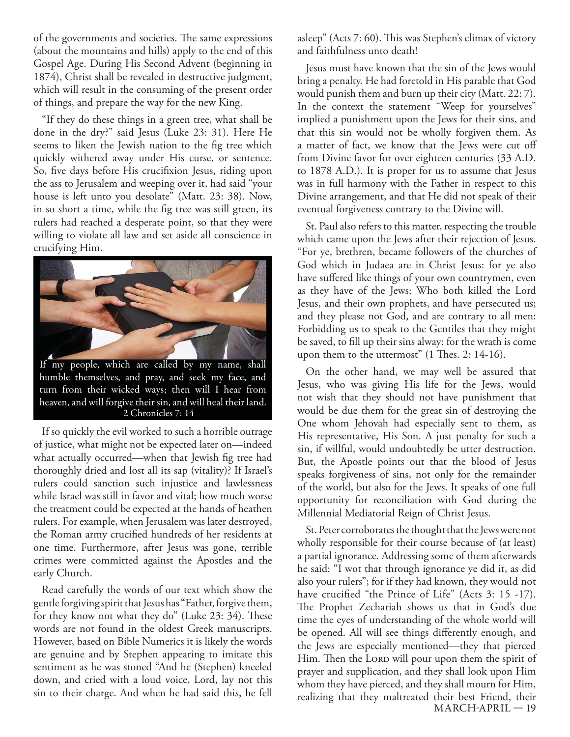of the governments and societies. The same expressions (about the mountains and hills) apply to the end of this Gospel Age. During His Second Advent (beginning in 1874), Christ shall be revealed in destructive judgment, which will result in the consuming of the present order of things, and prepare the way for the new King.

"If they do these things in a green tree, what shall be done in the dry?" said Jesus (Luke 23: 31). Here He seems to liken the Jewish nation to the fig tree which quickly withered away under His curse, or sentence. So, five days before His crucifixion Jesus, riding upon the ass to Jerusalem and weeping over it, had said "your house is left unto you desolate" (Matt. 23: 38). Now, in so short a time, while the fig tree was still green, its rulers had reached a desperate point, so that they were willing to violate all law and set aside all conscience in crucifying Him.



If so quickly the evil worked to such a horrible outrage of justice, what might not be expected later on—indeed what actually occurred—when that Jewish fig tree had thoroughly dried and lost all its sap (vitality)? If Israel's rulers could sanction such injustice and lawlessness while Israel was still in favor and vital; how much worse the treatment could be expected at the hands of heathen rulers. For example, when Jerusalem was later destroyed, the Roman army crucified hundreds of her residents at one time. Furthermore, after Jesus was gone, terrible crimes were committed against the Apostles and the early Church.

Read carefully the words of our text which show the gentle forgiving spirit that Jesus has "Father, forgive them, for they know not what they do" (Luke  $23: 34$ ). These words are not found in the oldest Greek manuscripts. However, based on Bible Numerics it is likely the words are genuine and by Stephen appearing to imitate this sentiment as he was stoned "And he (Stephen) kneeled down, and cried with a loud voice, Lord, lay not this sin to their charge. And when he had said this, he fell asleep" (Acts 7: 60). This was Stephen's climax of victory and faithfulness unto death!

Jesus must have known that the sin of the Jews would bring a penalty. He had foretold in His parable that God would punish them and burn up their city (Matt. 22: 7). In the context the statement "Weep for yourselves" implied a punishment upon the Jews for their sins, and that this sin would not be wholly forgiven them. As a matter of fact, we know that the Jews were cut off from Divine favor for over eighteen centuries (33 A.D. to 1878 A.D.). It is proper for us to assume that Jesus was in full harmony with the Father in respect to this Divine arrangement, and that He did not speak of their eventual forgiveness contrary to the Divine will.

St. Paul also refers to this matter, respecting the trouble which came upon the Jews after their rejection of Jesus. "For ye, brethren, became followers of the churches of God which in Judaea are in Christ Jesus: for ye also have suffered like things of your own countrymen, even as they have of the Jews: Who both killed the Lord Jesus, and their own prophets, and have persecuted us; and they please not God, and are contrary to all men: Forbidding us to speak to the Gentiles that they might be saved, to fill up their sins alway: for the wrath is come upon them to the uttermost"  $(1$  Thes. 2: 14-16).

On the other hand, we may well be assured that Jesus, who was giving His life for the Jews, would not wish that they should not have punishment that would be due them for the great sin of destroying the One whom Jehovah had especially sent to them, as His representative, His Son. A just penalty for such a sin, if willful, would undoubtedly be utter destruction. But, the Apostle points out that the blood of Jesus speaks forgiveness of sins, not only for the remainder of the world, but also for the Jews. It speaks of one full opportunity for reconciliation with God during the Millennial Mediatorial Reign of Christ Jesus.

MARCH-APRIL — 19 St. Peter corroborates the thought that the Jews were not wholly responsible for their course because of (at least) a partial ignorance. Addressing some of them afterwards he said: "I wot that through ignorance ye did it, as did also your rulers"; for if they had known, they would not have crucified "the Prince of Life" (Acts 3: 15 -17). The Prophet Zechariah shows us that in God's due time the eyes of understanding of the whole world will be opened. All will see things differently enough, and the Jews are especially mentioned—they that pierced Him. Then the Loro will pour upon them the spirit of prayer and supplication, and they shall look upon Him whom they have pierced, and they shall mourn for Him, realizing that they maltreated their best Friend, their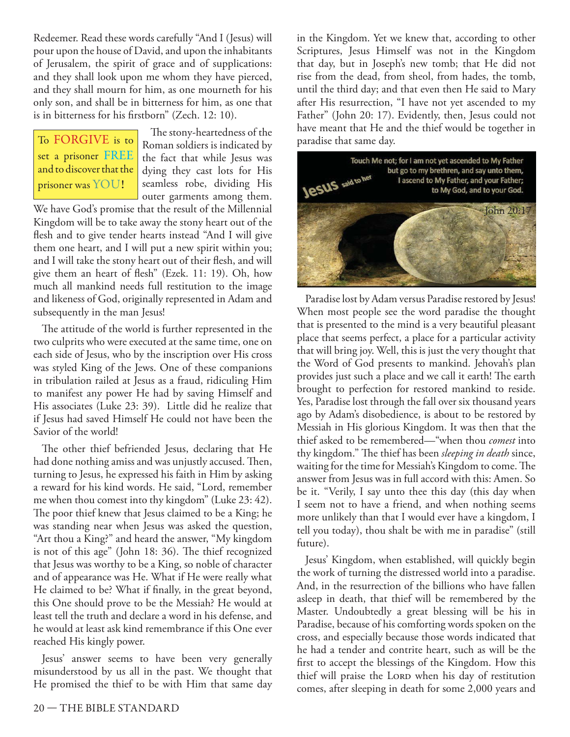Redeemer. Read these words carefully "And I (Jesus) will pour upon the house of David, and upon the inhabitants of Jerusalem, the spirit of grace and of supplications: and they shall look upon me whom they have pierced, and they shall mourn for him, as one mourneth for his only son, and shall be in bitterness for him, as one that is in bitterness for his firstborn" (Zech. 12: 10).

To FORGIVE is to set a prisoner FREE and to discover that the prisoner was YOU!

The stony-heartedness of the Roman soldiers is indicated by the fact that while Jesus was dying they cast lots for His seamless robe, dividing His outer garments among them.

We have God's promise that the result of the Millennial Kingdom will be to take away the stony heart out of the flesh and to give tender hearts instead "And I will give them one heart, and I will put a new spirit within you; and I will take the stony heart out of their flesh, and will give them an heart of flesh" (Ezek. 11: 19). Oh, how much all mankind needs full restitution to the image and likeness of God, originally represented in Adam and subsequently in the man Jesus!

The attitude of the world is further represented in the two culprits who were executed at the same time, one on each side of Jesus, who by the inscription over His cross was styled King of the Jews. One of these companions in tribulation railed at Jesus as a fraud, ridiculing Him to manifest any power He had by saving Himself and His associates (Luke 23: 39). Little did he realize that if Jesus had saved Himself He could not have been the Savior of the world!

The other thief befriended Jesus, declaring that He had done nothing amiss and was unjustly accused. Then, turning to Jesus, he expressed his faith in Him by asking a reward for his kind words. He said, "Lord, remember me when thou comest into thy kingdom" (Luke 23: 42). The poor thief knew that Jesus claimed to be a King; he was standing near when Jesus was asked the question, "Art thou a King?" and heard the answer, "My kingdom is not of this age" (John 18: 36). The thief recognized that Jesus was worthy to be a King, so noble of character and of appearance was He. What if He were really what He claimed to be? What if finally, in the great beyond, this One should prove to be the Messiah? He would at least tell the truth and declare a word in his defense, and he would at least ask kind remembrance if this One ever reached His kingly power.

Jesus' answer seems to have been very generally misunderstood by us all in the past. We thought that He promised the thief to be with Him that same day

in the Kingdom. Yet we knew that, according to other Scriptures, Jesus Himself was not in the Kingdom that day, but in Joseph's new tomb; that He did not rise from the dead, from sheol, from hades, the tomb, until the third day; and that even then He said to Mary after His resurrection, "I have not yet ascended to my Father" (John 20: 17). Evidently, then, Jesus could not have meant that He and the thief would be together in paradise that same day.



Paradise lost by Adam versus Paradise restored by Jesus! When most people see the word paradise the thought that is presented to the mind is a very beautiful pleasant place that seems perfect, a place for a particular activity that will bring joy. Well, this is just the very thought that the Word of God presents to mankind. Jehovah's plan provides just such a place and we call it earth! The earth brought to perfection for restored mankind to reside. Yes, Paradise lost through the fall over six thousand years ago by Adam's disobedience, is about to be restored by Messiah in His glorious Kingdom. It was then that the thief asked to be remembered—"when thou *comest* into thy kingdom." The thief has been *sleeping in death* since, waiting for the time for Messiah's Kingdom to come. The answer from Jesus was in full accord with this: Amen. So be it. "Verily, I say unto thee this day (this day when I seem not to have a friend, and when nothing seems more unlikely than that I would ever have a kingdom, I tell you today), thou shalt be with me in paradise" (still future).

Jesus' Kingdom, when established, will quickly begin the work of turning the distressed world into a paradise. And, in the resurrection of the billions who have fallen asleep in death, that thief will be remembered by the Master. Undoubtedly a great blessing will be his in Paradise, because of his comforting words spoken on the cross, and especially because those words indicated that he had a tender and contrite heart, such as will be the first to accept the blessings of the Kingdom. How this thief will praise the LORD when his day of restitution comes, after sleeping in death for some 2,000 years and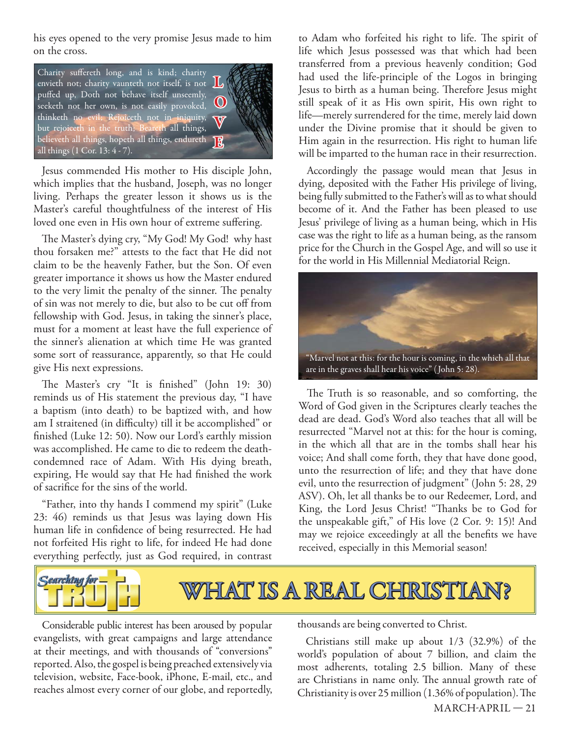his eyes opened to the very promise Jesus made to him on the cross.



Jesus commended His mother to His disciple John, which implies that the husband, Joseph, was no longer living. Perhaps the greater lesson it shows us is the Master's careful thoughtfulness of the interest of His loved one even in His own hour of extreme suffering.

The Master's dying cry, "My God! My God! why hast thou forsaken me?" attests to the fact that He did not claim to be the heavenly Father, but the Son. Of even greater importance it shows us how the Master endured to the very limit the penalty of the sinner. The penalty of sin was not merely to die, but also to be cut off from fellowship with God. Jesus, in taking the sinner's place, must for a moment at least have the full experience of the sinner's alienation at which time He was granted some sort of reassurance, apparently, so that He could give His next expressions.

The Master's cry "It is finished" (John 19: 30) reminds us of His statement the previous day, "I have a baptism (into death) to be baptized with, and how am I straitened (in difficulty) till it be accomplished" or finished (Luke 12: 50). Now our Lord's earthly mission was accomplished. He came to die to redeem the deathcondemned race of Adam. With His dying breath, expiring, He would say that He had finished the work of sacrifice for the sins of the world.

"Father, into thy hands I commend my spirit" (Luke 23: 46) reminds us that Jesus was laying down His human life in confidence of being resurrected. He had not forfeited His right to life, for indeed He had done everything perfectly, just as God required, in contrast

to Adam who forfeited his right to life. The spirit of life which Jesus possessed was that which had been transferred from a previous heavenly condition; God had used the life-principle of the Logos in bringing Jesus to birth as a human being. Therefore Jesus might still speak of it as His own spirit, His own right to life—merely surrendered for the time, merely laid down under the Divine promise that it should be given to Him again in the resurrection. His right to human life will be imparted to the human race in their resurrection.

Accordingly the passage would mean that Jesus in dying, deposited with the Father His privilege of living, being fully submitted to the Father's will as to what should become of it. And the Father has been pleased to use Jesus' privilege of living as a human being, which in His case was the right to life as a human being, as the ransom price for the Church in the Gospel Age, and will so use it for the world in His Millennial Mediatorial Reign.



The Truth is so reasonable, and so comforting, the Word of God given in the Scriptures clearly teaches the dead are dead. God's Word also teaches that all will be resurrected "Marvel not at this: for the hour is coming, in the which all that are in the tombs shall hear his voice; And shall come forth, they that have done good, unto the resurrection of life; and they that have done evil, unto the resurrection of judgment" (John 5: 28, 29 ASV). Oh, let all thanks be to our Redeemer, Lord, and King, the Lord Jesus Christ! "Thanks be to God for the unspeakable gift," of His love (2 Cor. 9: 15)! And may we rejoice exceedingly at all the benefits we have received, especially in this Memorial season!



Considerable public interest has been aroused by popular evangelists, with great campaigns and large attendance at their meetings, and with thousands of "conversions" reported. Also, the gospel is being preached extensively via television, website, Face-book, iPhone, E-mail, etc., and reaches almost every corner of our globe, and reportedly,

thousands are being converted to Christ.

Christians still make up about 1/3 (32.9%) of the world's population of about 7 billion, and claim the most adherents, totaling 2.5 billion. Many of these are Christians in name only. The annual growth rate of Christianity is over 25 million  $(1.36\%$  of population). The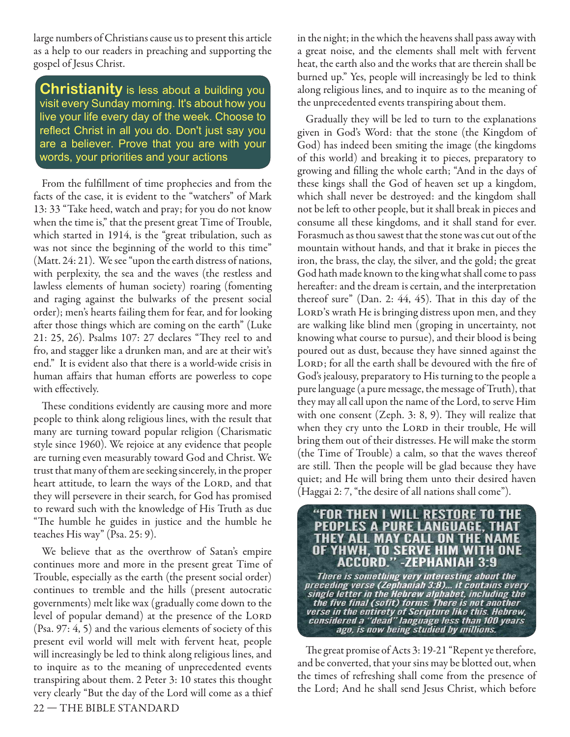large numbers of Christians cause us to present this article as a help to our readers in preaching and supporting the gospel of Jesus Christ.

**Christianity** is less about a building you visit every Sunday morning. It's about how you live your life every day of the week. Choose to reflect Christ in all you do. Don't just say you are a believer. Prove that you are with your words, your priorities and your actions

From the fulfillment of time prophecies and from the facts of the case, it is evident to the "watchers" of Mark 13: 33 "Take heed, watch and pray; for you do not know when the time is," that the present great Time of Trouble, which started in 1914, is the "great tribulation, such as was not since the beginning of the world to this time" (Matt. 24: 21). We see "upon the earth distress of nations, with perplexity, the sea and the waves (the restless and lawless elements of human society) roaring (fomenting and raging against the bulwarks of the present social order); men's hearts failing them for fear, and for looking after those things which are coming on the earth" (Luke 21: 25, 26). Psalms 107: 27 declares "They reel to and fro, and stagger like a drunken man, and are at their wit's end." It is evident also that there is a world-wide crisis in human affairs that human efforts are powerless to cope with effectively.

These conditions evidently are causing more and more people to think along religious lines, with the result that many are turning toward popular religion (Charismatic style since 1960). We rejoice at any evidence that people are turning even measurably toward God and Christ. We trust that many of them are seeking sincerely, in the proper heart attitude, to learn the ways of the LORD, and that they will persevere in their search, for God has promised to reward such with the knowledge of His Truth as due "The humble he guides in justice and the humble he teaches His way" (Psa. 25: 9).

22 — THE BIBLE STANDARD We believe that as the overthrow of Satan's empire continues more and more in the present great Time of Trouble, especially as the earth (the present social order) continues to tremble and the hills (present autocratic governments) melt like wax (gradually come down to the level of popular demand) at the presence of the LORD (Psa. 97: 4, 5) and the various elements of society of this present evil world will melt with fervent heat, people will increasingly be led to think along religious lines, and to inquire as to the meaning of unprecedented events transpiring about them. 2 Peter 3: 10 states this thought very clearly "But the day of the Lord will come as a thief in the night; in the which the heavens shall pass away with a great noise, and the elements shall melt with fervent heat, the earth also and the works that are therein shall be burned up." Yes, people will increasingly be led to think along religious lines, and to inquire as to the meaning of the unprecedented events transpiring about them.

Gradually they will be led to turn to the explanations given in God's Word: that the stone (the Kingdom of God) has indeed been smiting the image (the kingdoms of this world) and breaking it to pieces, preparatory to growing and filling the whole earth; "And in the days of these kings shall the God of heaven set up a kingdom, which shall never be destroyed: and the kingdom shall not be left to other people, but it shall break in pieces and consume all these kingdoms, and it shall stand for ever. Forasmuch as thou sawest that the stone was cut out of the mountain without hands, and that it brake in pieces the iron, the brass, the clay, the silver, and the gold; the great God hath made known to the king what shall come to pass hereafter: and the dream is certain, and the interpretation thereof sure" (Dan. 2:  $44$ ,  $45$ ). That in this day of the LORD's wrath He is bringing distress upon men, and they are walking like blind men (groping in uncertainty, not knowing what course to pursue), and their blood is being poured out as dust, because they have sinned against the LORD; for all the earth shall be devoured with the fire of God's jealousy, preparatory to His turning to the people a pure language (a pure message, the message of Truth), that they may all call upon the name of the Lord, to serve Him with one consent (Zeph. 3: 8, 9). They will realize that when they cry unto the LORD in their trouble, He will bring them out of their distresses. He will make the storm (the Time of Trouble) a calm, so that the waves thereof are still. Then the people will be glad because they have quiet; and He will bring them unto their desired haven (Haggai 2: 7, "the desire of all nations shall come").



The great promise of Acts 3: 19-21 "Repent ye therefore, and be converted, that your sins may be blotted out, when the times of refreshing shall come from the presence of the Lord; And he shall send Jesus Christ, which before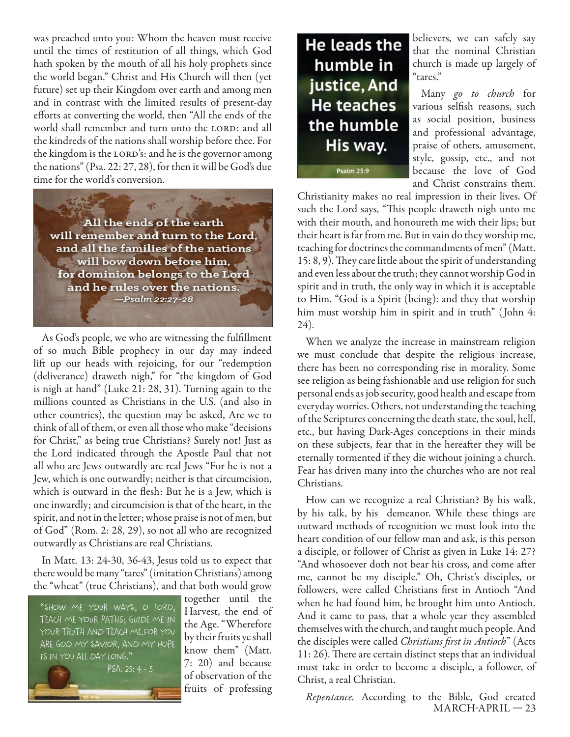was preached unto you: Whom the heaven must receive until the times of restitution of all things, which God hath spoken by the mouth of all his holy prophets since the world began." Christ and His Church will then (yet future) set up their Kingdom over earth and among men and in contrast with the limited results of present-day efforts at converting the world, then "All the ends of the world shall remember and turn unto the LORD: and all the kindreds of the nations shall worship before thee. For the kingdom is the LORD's: and he is the governor among the nations" (Psa. 22: 27, 28), for then it will be God's due time for the world's conversion.

All the ends of the earth will remember and turn to the Lord, and all the families of the nations will bow down before him, for dominion belongs to the Lord and he rules over the nations. -Psalm 22:27-28

As God's people, we who are witnessing the fulfillment of so much Bible prophecy in our day may indeed lift up our heads with rejoicing, for our "redemption (deliverance) draweth nigh," for "the kingdom of God is nigh at hand" (Luke 21: 28, 31). Turning again to the millions counted as Christians in the U.S. (and also in other countries), the question may be asked, Are we to think of all of them, or even all those who make "decisions for Christ," as being true Christians? Surely not! Just as the Lord indicated through the Apostle Paul that not all who are Jews outwardly are real Jews "For he is not a Jew, which is one outwardly; neither is that circumcision, which is outward in the flesh: But he is a Jew, which is one inwardly; and circumcision is that of the heart, in the spirit, and not in the letter; whose praise is not of men, but of God" (Rom. 2: 28, 29), so not all who are recognized outwardly as Christians are real Christians.

In Matt. 13: 24-30, 36-43, Jesus told us to expect that there would be many "tares" (imitation Christians) among the "wheat" (true Christians), and that both would grow



together until the Harvest, the end of the Age. "Wherefore by their fruits ye shall know them" (Matt. 7: 20) and because of observation of the fruits of professing



believers, we can safely say that the nominal Christian church is made up largely of "tares."

Many go to church for various selfish reasons, such as social position, business and professional advantage, praise of others, amusement, style, gossip, etc., and not because the love of God and Christ constrains them.

Christianity makes no real impression in their lives. Of such the Lord says, "This people draweth nigh unto me with their mouth, and honoureth me with their lips; but their heart is far from me. But in vain do they worship me, teaching for doctrines the commandments of men" (Matt.  $15: 8, 9$ . They care little about the spirit of understanding and even less about the truth; they cannot worship God in spirit and in truth, the only way in which it is acceptable to Him. "God is a Spirit (being): and they that worship him must worship him in spirit and in truth" (John 4: 24).

When we analyze the increase in mainstream religion we must conclude that despite the religious increase, there has been no corresponding rise in morality. Some see religion as being fashionable and use religion for such personal ends as job security, good health and escape from everyday worries. Others, not understanding the teaching of the Scriptures concerning the death state, the soul, hell, etc., but having Dark-Ages conceptions in their minds on these subjects, fear that in the hereafter they will be eternally tormented if they die without joining a church. Fear has driven many into the churches who are not real Christians.

How can we recognize a real Christian? By his walk, by his talk, by his demeanor. While these things are outward methods of recognition we must look into the heart condition of our fellow man and ask, is this person a disciple, or follower of Christ as given in Luke 14: 27? "And whosoever doth not bear his cross, and come after me, cannot be my disciple." Oh, Christ's disciples, or followers, were called Christians first in Antioch "And when he had found him, he brought him unto Antioch. And it came to pass, that a whole year they assembled themselves with the church, and taught much people. And the disciples were called Christians first in Antioch" (Acts 11: 26). There are certain distinct steps that an individual must take in order to become a disciple, a follower, of Christ, a real Christian.

MARCH-APRIL — 23 Repentance. According to the Bible, God created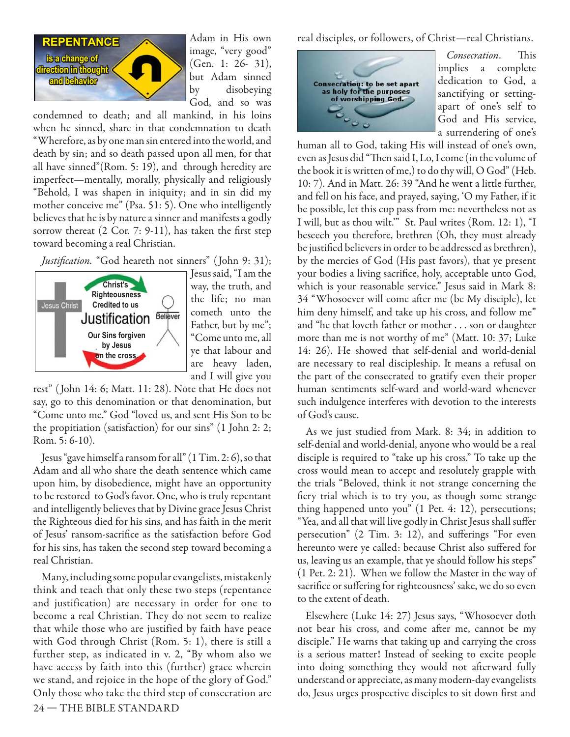

Adam in His own image, "very good" (Gen. 1: 26- 31), but Adam sinned by disobeying God, and so was

condemned to death; and all mankind, in his loins when he sinned, share in that condemnation to death "Wherefore, as by one man sin entered into the world, and death by sin; and so death passed upon all men, for that all have sinned"(Rom. 5: 19), and through heredity are imperfect—mentally, morally, physically and religiously "Behold, I was shapen in iniquity; and in sin did my mother conceive me" (Psa. 51: 5). One who intelligently believes that he is by nature a sinner and manifests a godly sorrow thereat  $(2 \text{ Cor. } 7: 9-11)$ , has taken the first step toward becoming a real Christian.

Justification. "God heareth not sinners" (John 9: 31);



Jesus said, "I am the way, the truth, and the life; no man cometh unto the Father, but by me"; "Come unto me, all ye that labour and are heavy laden, and I will give you

rest" ( John 14: 6; Matt. 11: 28). Note that He does not say, go to this denomination or that denomination, but "Come unto me." God "loved us, and sent His Son to be the propitiation (satisfaction) for our sins" (1 John 2: 2; Rom. 5: 6-10).

Jesus "gave himself a ransom for all" (1 Tim. 2: 6), so that Adam and all who share the death sentence which came upon him, by disobedience, might have an opportunity to be restored to God's favor. One, who is truly repentant and intelligently believes that by Divine grace Jesus Christ the Righteous died for his sins, and has faith in the merit of Jesus' ransom-sacrifice as the satisfaction before God for his sins, has taken the second step toward becoming a real Christian.

24 — THE BIBLE STANDARD Many, including some popular evangelists, mistakenly think and teach that only these two steps (repentance and justification) are necessary in order for one to become a real Christian. They do not seem to realize that while those who are justified by faith have peace with God through Christ (Rom. 5: 1), there is still a further step, as indicated in v. 2, "By whom also we have access by faith into this (further) grace wherein we stand, and rejoice in the hope of the glory of God." Only those who take the third step of consecration are

real disciples, or followers, of Christ—real Christians.



Consecration. This implies a complete dedication to God, a sanctifying or settingapart of one's self to God and His service, a surrendering of one's

human all to God, taking His will instead of one's own, even as Jesus did "Then said I, Lo, I come (in the volume of the book it is written of me,) to do thy will, O God" (Heb. 10: 7). And in Matt. 26: 39 "And he went a little further, and fell on his face, and prayed, saying, 'O my Father, if it be possible, let this cup pass from me: nevertheless not as I will, but as thou wilt.'" St. Paul writes (Rom. 12: 1), "I beseech you therefore, brethren (Oh, they must already be justified believers in order to be addressed as brethren), by the mercies of God (His past favors), that ye present your bodies a living sacrifice, holy, acceptable unto God, which is your reasonable service." Jesus said in Mark 8: 34 "Whosoever will come after me (be My disciple), let him deny himself, and take up his cross, and follow me" and "he that loveth father or mother . . . son or daughter more than me is not worthy of me" (Matt. 10: 37; Luke 14: 26). He showed that self-denial and world-denial are necessary to real discipleship. It means a refusal on the part of the consecrated to gratify even their proper human sentiments self-ward and world-ward whenever such indulgence interferes with devotion to the interests of God's cause.

As we just studied from Mark. 8: 34; in addition to self-denial and world-denial, anyone who would be a real disciple is required to "take up his cross." To take up the cross would mean to accept and resolutely grapple with the trials "Beloved, think it not strange concerning the fiery trial which is to try you, as though some strange thing happened unto you" (1 Pet. 4: 12), persecutions; "Yea, and all that will live godly in Christ Jesus shall suffer persecution" (2 Tim. 3: 12), and sufferings "For even hereunto were ye called: because Christ also suffered for us, leaving us an example, that ye should follow his steps" (1 Pet. 2: 21). When we follow the Master in the way of sacrifice or suffering for righteousness' sake, we do so even to the extent of death.

Elsewhere (Luke 14: 27) Jesus says, "Whosoever doth not bear his cross, and come after me, cannot be my disciple." He warns that taking up and carrying the cross is a serious matter! Instead of seeking to excite people into doing something they would not afterward fully understand or appreciate, as many modern-day evangelists do, Jesus urges prospective disciples to sit down first and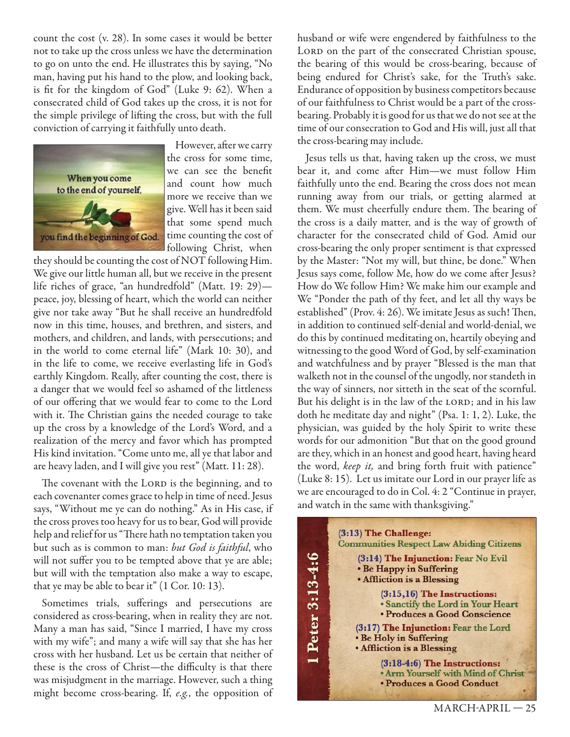count the cost (v. 28). In some cases it would be better not to take up the cross unless we have the determination to go on unto the end. He illustrates this by saying, "No man, having put his hand to the plow, and looking back, is fit for the kingdom of God" (Luke 9: 62). When a consecrated child of God takes up the cross, it is not for the simple privilege of lifting the cross, but with the full conviction of carrying it faithfully unto death.



However, after we carry the cross for some time, we can see the benefit and count how much more we receive than we give. Well has it been said that some spend much time counting the cost of following Christ, when

they should be counting the cost of NOT following Him. We give our little human all, but we receive in the present life riches of grace, "an hundredfold" (Matt. 19: 29) peace, joy, blessing of heart, which the world can neither give nor take away "But he shall receive an hundredfold now in this time, houses, and brethren, and sisters, and mothers, and children, and lands, with persecutions; and in the world to come eternal life" (Mark 10: 30), and in the life to come, we receive everlasting life in God's earthly Kingdom. Really, after counting the cost, there is a danger that we would feel so ashamed of the littleness of our offering that we would fear to come to the Lord with it. The Christian gains the needed courage to take up the cross by a knowledge of the Lord's Word, and a realization of the mercy and favor which has prompted His kind invitation. "Come unto me, all ye that labor and are heavy laden, and I will give you rest" (Matt. 11: 28).

The covenant with the LORD is the beginning, and to each covenanter comes grace to help in time of need. Jesus says, "Without me ye can do nothing." As in His case, if the cross proves too heavy for us to bear, God will provide help and relief for us "There hath no temptation taken you but such as is common to man: but God is faithful, who will not suffer you to be tempted above that ye are able; but will with the temptation also make a way to escape, that ye may be able to bear it" (1 Cor. 10: 13).

Sometimes trials, sufferings and persecutions are considered as cross-bearing, when in reality they are not. Many a man has said, "Since I married, I have my cross with my wife"; and many a wife will say that she has her cross with her husband. Let us be certain that neither of these is the cross of Christ—the difficulty is that there was misjudgment in the marriage. However, such a thing might become cross-bearing. If, e.g., the opposition of husband or wife were engendered by faithfulness to the LORD on the part of the consecrated Christian spouse, the bearing of this would be cross-bearing, because of being endured for Christ's sake, for the Truth's sake. Endurance of opposition by business competitors because of our faithfulness to Christ would be a part of the crossbearing. Probably it is good for us that we do not see at the time of our consecration to God and His will, just all that the cross-bearing may include.

Jesus tells us that, having taken up the cross, we must bear it, and come after Him-we must follow Him faithfully unto the end. Bearing the cross does not mean running away from our trials, or getting alarmed at them. We must cheerfully endure them. The bearing of the cross is a daily matter, and is the way of growth of character for the consecrated child of God. Amid our cross-bearing the only proper sentiment is that expressed by the Master: "Not my will, but thine, be done." When Jesus says come, follow Me, how do we come after Jesus? How do We follow Him? We make him our example and We "Ponder the path of thy feet, and let all thy ways be established" (Prov. 4: 26). We imitate Jesus as such! Then, in addition to continued self-denial and world-denial, we do this by continued meditating on, heartily obeying and witnessing to the good Word of God, by self-examination and watchfulness and by prayer "Blessed is the man that walketh not in the counsel of the ungodly, nor standeth in the way of sinners, nor sitteth in the seat of the scornful. But his delight is in the law of the LORD; and in his law doth he meditate day and night" (Psa. 1: 1, 2). Luke, the physician, was guided by the holy Spirit to write these words for our admonition "But that on the good ground are they, which in an honest and good heart, having heard the word, keep it, and bring forth fruit with patience" (Luke 8: 15). Let us imitate our Lord in our prayer life as we are encouraged to do in Col. 4: 2 "Continue in prayer, and watch in the same with thanksgiving."

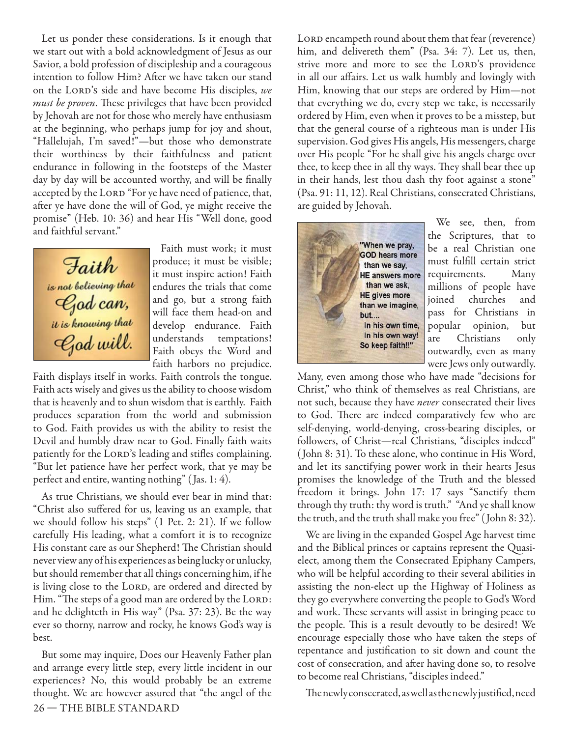Let us ponder these considerations. Is it enough that we start out with a bold acknowledgment of Jesus as our Savior, a bold profession of discipleship and a courageous intention to follow Him? After we have taken our stand on the LORD's side and have become His disciples, we must be proven. These privileges that have been provided by Jehovah are not for those who merely have enthusiasm at the beginning, who perhaps jump for joy and shout, "Hallelujah, I'm saved!"—but those who demonstrate their worthiness by their faithfulness and patient endurance in following in the footsteps of the Master day by day will be accounted worthy, and will be finally accepted by the LORD "For ye have need of patience, that, after ye have done the will of God, ye might receive the promise" (Heb. 10: 36) and hear His "Well done, good and faithful servant."



Faith must work; it must produce; it must be visible; it must inspire action! Faith endures the trials that come and go, but a strong faith will face them head-on and develop endurance. Faith understands temptations! Faith obeys the Word and faith harbors no prejudice.

Faith displays itself in works. Faith controls the tongue. Faith acts wisely and gives us the ability to choose wisdom that is heavenly and to shun wisdom that is earthly. Faith produces separation from the world and submission to God. Faith provides us with the ability to resist the Devil and humbly draw near to God. Finally faith waits patiently for the LORD's leading and stifles complaining. "But let patience have her perfect work, that ye may be perfect and entire, wanting nothing" ( Jas. 1: 4).

As true Christians, we should ever bear in mind that: "Christ also suffered for us, leaving us an example, that we should follow his steps" (1 Pet. 2: 21). If we follow carefully His leading, what a comfort it is to recognize His constant care as our Shepherd! The Christian should never view any of his experiences as being lucky or unlucky, but should remember that all things concerning him, if he is living close to the LORD, are ordered and directed by Him. "The steps of a good man are ordered by the LORD: and he delighteth in His way" (Psa. 37: 23). Be the way ever so thorny, narrow and rocky, he knows God's way is best.

26 — THE BIBLE STANDARD But some may inquire, Does our Heavenly Father plan and arrange every little step, every little incident in our experiences? No, this would probably be an extreme thought. We are however assured that "the angel of the LORD encampeth round about them that fear (reverence) him, and delivereth them" (Psa. 34: 7). Let us, then, strive more and more to see the LORD's providence in all our affairs. Let us walk humbly and lovingly with Him, knowing that our steps are ordered by Him—not that everything we do, every step we take, is necessarily ordered by Him, even when it proves to be a misstep, but that the general course of a righteous man is under His supervision. God gives His angels, His messengers, charge over His people "For he shall give his angels charge over thee, to keep thee in all thy ways. They shall bear thee up in their hands, lest thou dash thy foot against a stone" (Psa. 91: 11, 12). Real Christians, consecrated Christians, are guided by Jehovah.



We see, then, from the Scriptures, that to be a real Christian one must fulfill certain strict requirements. Many millions of people have joined churches and pass for Christians in popular opinion, but are Christians only outwardly, even as many were Jews only outwardly.

Many, even among those who have made "decisions for Christ," who think of themselves as real Christians, are not such, because they have *never* consecrated their lives to God. There are indeed comparatively few who are self-denying, world-denying, cross-bearing disciples, or followers, of Christ—real Christians, "disciples indeed" ( John 8: 31). To these alone, who continue in His Word, and let its sanctifying power work in their hearts Jesus promises the knowledge of the Truth and the blessed freedom it brings. John 17: 17 says "Sanctify them through thy truth: thy word is truth." "And ye shall know the truth, and the truth shall make you free" ( John 8: 32).

We are living in the expanded Gospel Age harvest time and the Biblical princes or captains represent the Quasielect, among them the Consecrated Epiphany Campers, who will be helpful according to their several abilities in assisting the non-elect up the Highway of Holiness as they go everywhere converting the people to God's Word and work. These servants will assist in bringing peace to the people. This is a result devoutly to be desired! We encourage especially those who have taken the steps of repentance and justification to sit down and count the cost of consecration, and after having done so, to resolve to become real Christians, "disciples indeed."

The newly consecrated, as well as the newly justified, need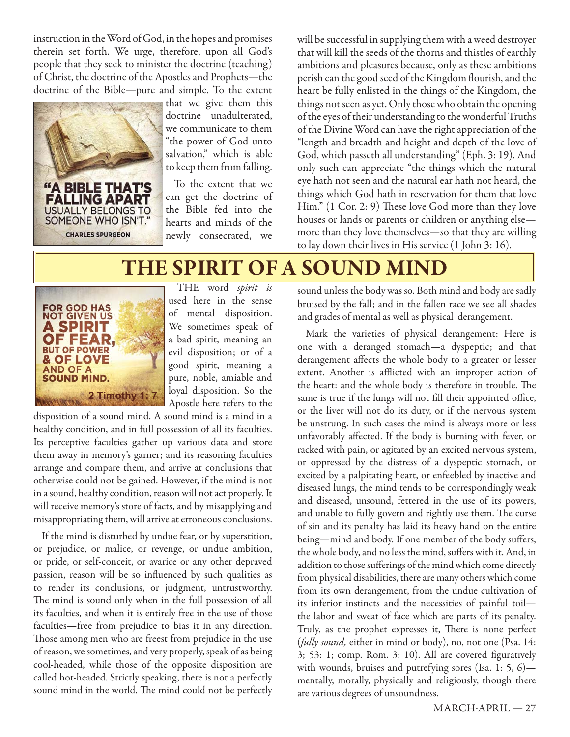instruction in the Word of God, in the hopes and promises therein set forth. We urge, therefore, upon all God's people that they seek to minister the doctrine (teaching) of Christ, the doctrine of the Apostles and Prophets—the doctrine of the Bible—pure and simple. To the extent



that we give them this doctrine unadulterated, we communicate to them "the power of God unto salvation," which is able to keep them from falling.

To the extent that we can get the doctrine of the Bible fed into the hearts and minds of the newly consecrated, we will be successful in supplying them with a weed destroyer that will kill the seeds of the thorns and thistles of earthly ambitions and pleasures because, only as these ambitions perish can the good seed of the Kingdom flourish, and the heart be fully enlisted in the things of the Kingdom, the things not seen as yet. Only those who obtain the opening of the eyes of their understanding to the wonderful Truths of the Divine Word can have the right appreciation of the "length and breadth and height and depth of the love of God, which passeth all understanding" (Eph. 3: 19). And only such can appreciate "the things which the natural eye hath not seen and the natural ear hath not heard, the things which God hath in reservation for them that love Him." (1 Cor. 2: 9) These love God more than they love houses or lands or parents or children or anything else more than they love themselves—so that they are willing to lay down their lives in His service (1 John 3: 16).

# **THE SPIRIT OF A SOUND MIND**



THE word spirit is used here in the sense of mental disposition. We sometimes speak of a bad spirit, meaning an evil disposition; or of a good spirit, meaning a pure, noble, amiable and loyal disposition. So the Apostle here refers to the

disposition of a sound mind. A sound mind is a mind in a healthy condition, and in full possession of all its faculties. Its perceptive faculties gather up various data and store them away in memory's garner; and its reasoning faculties arrange and compare them, and arrive at conclusions that otherwise could not be gained. However, if the mind is not in a sound, healthy condition, reason will not act properly. It will receive memory's store of facts, and by misapplying and misappropriating them, will arrive at erroneous conclusions.

If the mind is disturbed by undue fear, or by superstition, or prejudice, or malice, or revenge, or undue ambition, or pride, or self-conceit, or avarice or any other depraved passion, reason will be so influenced by such qualities as to render its conclusions, or judgment, untrustworthy. The mind is sound only when in the full possession of all its faculties, and when it is entirely free in the use of those faculties—free from prejudice to bias it in any direction. Those among men who are freest from prejudice in the use of reason, we sometimes, and very properly, speak of as being cool-headed, while those of the opposite disposition are called hot-headed. Strictly speaking, there is not a perfectly sound mind in the world. The mind could not be perfectly

sound unless the body was so. Both mind and body are sadly bruised by the fall; and in the fallen race we see all shades and grades of mental as well as physical derangement.

Mark the varieties of physical derangement: Here is one with a deranged stomach—a dyspeptic; and that derangement affects the whole body to a greater or lesser extent. Another is afflicted with an improper action of the heart: and the whole body is therefore in trouble. The same is true if the lungs will not fill their appointed office, or the liver will not do its duty, or if the nervous system be unstrung. In such cases the mind is always more or less unfavorably affected. If the body is burning with fever, or racked with pain, or agitated by an excited nervous system, or oppressed by the distress of a dyspeptic stomach, or excited by a palpitating heart, or enfeebled by inactive and diseased lungs, the mind tends to be correspondingly weak and diseased, unsound, fettered in the use of its powers, and unable to fully govern and rightly use them. The curse of sin and its penalty has laid its heavy hand on the entire being—mind and body. If one member of the body suffers, the whole body, and no less the mind, suffers with it. And, in addition to those sufferings of the mind which come directly from physical disabilities, there are many others which come from its own derangement, from the undue cultivation of its inferior instincts and the necessities of painful toil the labor and sweat of face which are parts of its penalty. Truly, as the prophet expresses it, There is none perfect (fully sound, either in mind or body), no, not one (Psa. 14:  $3$ ;  $53$ : 1; comp. Rom. 3: 10). All are covered figuratively with wounds, bruises and putrefying sores (Isa. 1: 5, 6) mentally, morally, physically and religiously, though there are various degrees of unsoundness.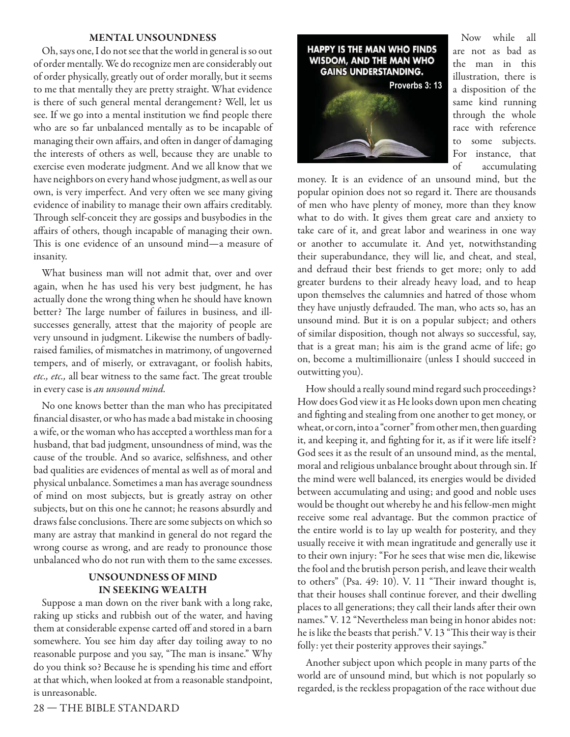#### **MENTAL UNSOUNDNESS**

Oh, says one, I do not see that the world in general is so out of order mentally. We do recognize men are considerably out of order physically, greatly out of order morally, but it seems to me that mentally they are pretty straight. What evidence is there of such general mental derangement? Well, let us see. If we go into a mental institution we find people there who are so far unbalanced mentally as to be incapable of managing their own affairs, and often in danger of damaging the interests of others as well, because they are unable to exercise even moderate judgment. And we all know that we have neighbors on every hand whose judgment, as well as our own, is very imperfect. And very often we see many giving evidence of inability to manage their own affairs creditably. Through self-conceit they are gossips and busybodies in the affairs of others, though incapable of managing their own. This is one evidence of an unsound mind—a measure of insanity.

What business man will not admit that, over and over again, when he has used his very best judgment, he has actually done the wrong thing when he should have known better? The large number of failures in business, and illsuccesses generally, attest that the majority of people are very unsound in judgment. Likewise the numbers of badlyraised families, of mismatches in matrimony, of ungoverned tempers, and of miserly, or extravagant, or foolish habits, etc., etc., all bear witness to the same fact. The great trouble in every case is an unsound mind.

No one knows better than the man who has precipitated financial disaster, or who has made a bad mistake in choosing a wife, or the woman who has accepted a worthless man for a husband, that bad judgment, unsoundness of mind, was the cause of the trouble. And so avarice, selfishness, and other bad qualities are evidences of mental as well as of moral and physical unbalance. Sometimes a man has average soundness of mind on most subjects, but is greatly astray on other subjects, but on this one he cannot; he reasons absurdly and draws false conclusions. There are some subjects on which so many are astray that mankind in general do not regard the wrong course as wrong, and are ready to pronounce those unbalanced who do not run with them to the same excesses.

#### **UNSOUNDNESS OF MIND IN SEEKING WEALTH**

Suppose a man down on the river bank with a long rake, raking up sticks and rubbish out of the water, and having them at considerable expense carted off and stored in a barn somewhere. You see him day after day toiling away to no reasonable purpose and you say, "The man is insane." Why do you think so? Because he is spending his time and effort at that which, when looked at from a reasonable standpoint, is unreasonable.



Now while all are not as bad as the man in this illustration, there is a disposition of the same kind running through the whole race with reference to some subjects. For instance, that of accumulating

money. It is an evidence of an unsound mind, but the popular opinion does not so regard it. There are thousands of men who have plenty of money, more than they know what to do with. It gives them great care and anxiety to take care of it, and great labor and weariness in one way or another to accumulate it. And yet, notwithstanding their superabundance, they will lie, and cheat, and steal, and defraud their best friends to get more; only to add greater burdens to their already heavy load, and to heap upon themselves the calumnies and hatred of those whom they have unjustly defrauded. The man, who acts so, has an unsound mind. But it is on a popular subject; and others of similar disposition, though not always so successful, say, that is a great man; his aim is the grand acme of life; go on, become a multimillionaire (unless I should succeed in outwitting you).

How should a really sound mind regard such proceedings? How does God view it as He looks down upon men cheating and fighting and stealing from one another to get money, or wheat, or corn, into a "corner" from other men, then guarding it, and keeping it, and fighting for it, as if it were life itself? God sees it as the result of an unsound mind, as the mental, moral and religious unbalance brought about through sin. If the mind were well balanced, its energies would be divided between accumulating and using; and good and noble uses would be thought out whereby he and his fellow-men might receive some real advantage. But the common practice of the entire world is to lay up wealth for posterity, and they usually receive it with mean ingratitude and generally use it to their own injury: "For he sees that wise men die, likewise the fool and the brutish person perish, and leave their wealth to others" (Psa. 49: 10). V. 11 "Their inward thought is, that their houses shall continue forever, and their dwelling places to all generations; they call their lands after their own names." V. 12 "Nevertheless man being in honor abides not: he is like the beasts that perish." V. 13 "This their way is their folly: yet their posterity approves their sayings."

Another subject upon which people in many parts of the world are of unsound mind, but which is not popularly so regarded, is the reckless propagation of the race without due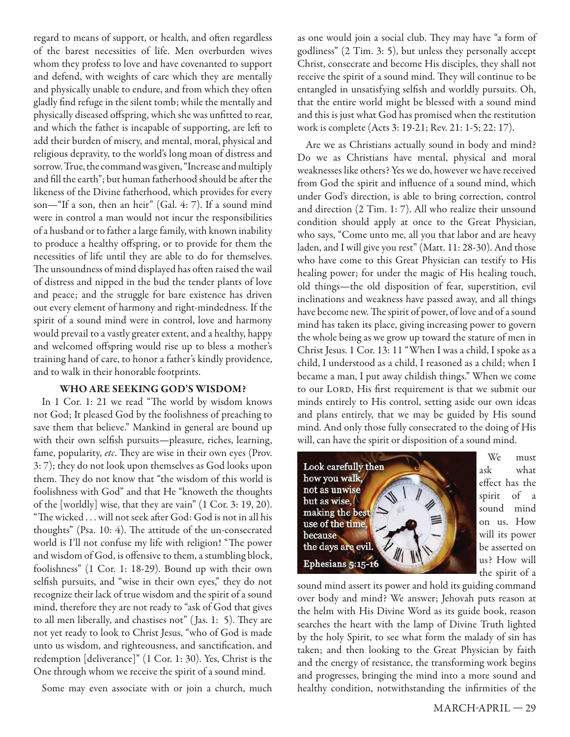regard to means of support, or health, and often regardless of the barest necessities of life. Men overburden wives whom they profess to love and have covenanted to support and defend, with weights of care which they are mentally and physically unable to endure, and from which they often gladly find refuge in the silent tomb; while the mentally and physically diseased offspring, which she was unfitted to rear, and which the father is incapable of supporting, are left to add their burden of misery, and mental, moral, physical and religious depravity, to the world's long moan of distress and sorrow. True, the command was given, "Increase and multiply and fill the earth"; but human fatherhood should be after the likeness of the Divine fatherhood, which provides for every son—"If a son, then an heir" (Gal. 4: 7). If a sound mind were in control a man would not incur the responsibilities of a husband or to father a large family, with known inability to produce a healthy offspring, or to provide for them the necessities of life until they are able to do for themselves. The unsoundness of mind displayed has often raised the wail of distress and nipped in the bud the tender plants of love and peace; and the struggle for bare existence has driven out every element of harmony and right-mindedness. If the spirit of a sound mind were in control, love and harmony would prevail to a vastly greater extent, and a healthy, happy and welcomed offspring would rise up to bless a mother's training hand of care, to honor a father's kindly providence, and to walk in their honorable footprints.

#### **WHO ARE SEEKING GOD'S WISDOM?**

In 1 Cor. 1: 21 we read "The world by wisdom knows not God; It pleased God by the foolishness of preaching to save them that believe." Mankind in general are bound up with their own selfish pursuits—pleasure, riches, learning, fame, popularity, etc. They are wise in their own eyes (Prov. 3: 7); they do not look upon themselves as God looks upon them. They do not know that "the wisdom of this world is foolishness with God" and that He "knoweth the thoughts of the [worldly] wise, that they are vain" (1 Cor. 3: 19, 20). "The wicked ... will not seek after God: God is not in all his thoughts" (Psa. 10: 4). The attitude of the un-consecrated world is I'll not confuse my life with religion! "The power and wisdom of God, is offensive to them, a stumbling block, foolishness" (1 Cor. 1: 18-29). Bound up with their own selfish pursuits, and "wise in their own eyes," they do not recognize their lack of true wisdom and the spirit of a sound mind, therefore they are not ready to "ask of God that gives to all men liberally, and chastises not" (Jas. 1: 5). They are not yet ready to look to Christ Jesus, "who of God is made unto us wisdom, and righteousness, and sanctification, and redemption [deliverance]" (1 Cor. 1: 30). Yes, Christ is the One through whom we receive the spirit of a sound mind.

Some may even associate with or join a church, much

as one would join a social club. They may have "a form of godliness" (2 Tim. 3: 5), but unless they personally accept Christ, consecrate and become His disciples, they shall not receive the spirit of a sound mind. They will continue to be entangled in unsatisfying selfish and worldly pursuits. Oh, that the entire world might be blessed with a sound mind and this is just what God has promised when the restitution work is complete (Acts 3: 19-21; Rev. 21: 1-5; 22: 17).

Are we as Christians actually sound in body and mind? Do we as Christians have mental, physical and moral weaknesses like others? Yes we do, however we have received from God the spirit and influence of a sound mind, which under God's direction, is able to bring correction, control and direction (2 Tim. 1: 7). All who realize their unsound condition should apply at once to the Great Physician, who says, "Come unto me, all you that labor and are heavy laden, and I will give you rest" (Matt. 11: 28-30). And those who have come to this Great Physician can testify to His healing power; for under the magic of His healing touch, old things—the old disposition of fear, superstition, evil inclinations and weakness have passed away, and all things have become new. The spirit of power, of love and of a sound mind has taken its place, giving increasing power to govern the whole being as we grow up toward the stature of men in Christ Jesus. 1 Cor. 13: 11 "When I was a child, I spoke as a child, I understood as a child, I reasoned as a child; when I became a man, I put away childish things." When we come to our LORD, His first requirement is that we submit our minds entirely to His control, setting aside our own ideas and plans entirely, that we may be guided by His sound mind. And only those fully consecrated to the doing of His will, can have the spirit or disposition of a sound mind.



We must ask what effect has the spirit of a sound mind on us. How will its power be asserted on us? How will the spirit of a

sound mind assert its power and hold its guiding command over body and mind? We answer; Jehovah puts reason at the helm with His Divine Word as its guide book, reason searches the heart with the lamp of Divine Truth lighted by the holy Spirit, to see what form the malady of sin has taken; and then looking to the Great Physician by faith and the energy of resistance, the transforming work begins and progresses, bringing the mind into a more sound and healthy condition, notwithstanding the infirmities of the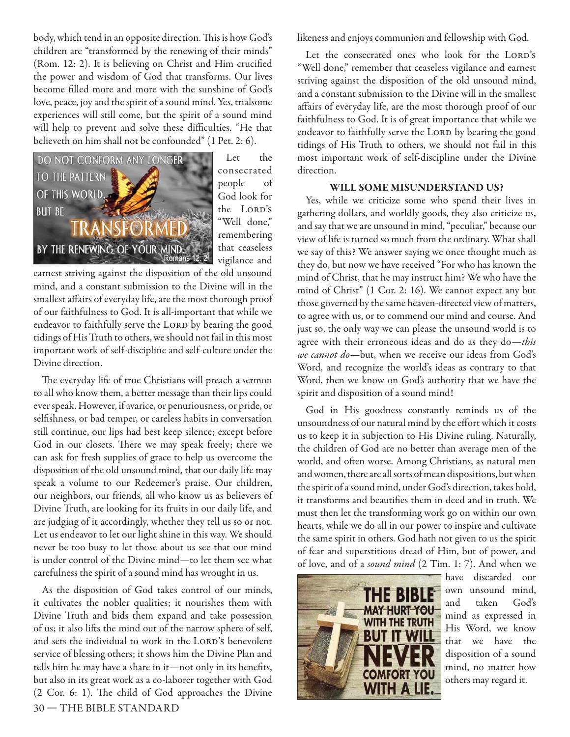body, which tend in an opposite direction. This is how God's children are "transformed by the renewing of their minds" (Rom. 12: 2). It is believing on Christ and Him crucified the power and wisdom of God that transforms. Our lives become filled more and more with the sunshine of God's love, peace, joy and the spirit of a sound mind. Yes, trialsome experiences will still come, but the spirit of a sound mind will help to prevent and solve these difficulties. "He that believeth on him shall not be confounded" (1 Pet. 2: 6).



Let the consecrated people of God look for the LORD's "Well done," remembering that ceaseless vigilance and

earnest striving against the disposition of the old unsound mind, and a constant submission to the Divine will in the smallest affairs of everyday life, are the most thorough proof of our faithfulness to God. It is all-important that while we endeavor to faithfully serve the LORD by bearing the good tidings of His Truth to others, we should not fail in this most important work of self-discipline and self-culture under the Divine direction.

The everyday life of true Christians will preach a sermon to all who know them, a better message than their lips could ever speak. However, if avarice, or penuriousness, or pride, or selfishness, or bad temper, or careless habits in conversation still continue, our lips had best keep silence; except before God in our closets. There we may speak freely; there we can ask for fresh supplies of grace to help us overcome the disposition of the old unsound mind, that our daily life may speak a volume to our Redeemer's praise. Our children, our neighbors, our friends, all who know us as believers of Divine Truth, are looking for its fruits in our daily life, and are judging of it accordingly, whether they tell us so or not. Let us endeavor to let our light shine in this way. We should never be too busy to let those about us see that our mind is under control of the Divine mind—to let them see what carefulness the spirit of a sound mind has wrought in us.

30 — THE BIBLE STANDARD As the disposition of God takes control of our minds, it cultivates the nobler qualities; it nourishes them with Divine Truth and bids them expand and take possession of us; it also lifts the mind out of the narrow sphere of self, and sets the individual to work in the LORD's benevolent service of blessing others; it shows him the Divine Plan and tells him he may have a share in it—not only in its benefits, but also in its great work as a co-laborer together with God  $(2$  Cor. 6: 1). The child of God approaches the Divine

likeness and enjoys communion and fellowship with God.

Let the consecrated ones who look for the LORD's "Well done," remember that ceaseless vigilance and earnest striving against the disposition of the old unsound mind, and a constant submission to the Divine will in the smallest affairs of everyday life, are the most thorough proof of our faithfulness to God. It is of great importance that while we endeavor to faithfully serve the LORD by bearing the good tidings of His Truth to others, we should not fail in this most important work of self-discipline under the Divine direction.

#### **WILL SOME MISUNDERSTAND US?**

Yes, while we criticize some who spend their lives in gathering dollars, and worldly goods, they also criticize us, and say that we are unsound in mind, "peculiar," because our view of life is turned so much from the ordinary. What shall we say of this? We answer saying we once thought much as they do, but now we have received "For who has known the mind of Christ, that he may instruct him? We who have the mind of Christ" (1 Cor. 2: 16). We cannot expect any but those governed by the same heaven-directed view of matters, to agree with us, or to commend our mind and course. And just so, the only way we can please the unsound world is to agree with their erroneous ideas and do as they do—this we cannot do—but, when we receive our ideas from God's Word, and recognize the world's ideas as contrary to that Word, then we know on God's authority that we have the spirit and disposition of a sound mind!

God in His goodness constantly reminds us of the unsoundness of our natural mind by the effort which it costs us to keep it in subjection to His Divine ruling. Naturally, the children of God are no better than average men of the world, and often worse. Among Christians, as natural men and women, there are all sorts of mean dispositions, but when the spirit of a sound mind, under God's direction, takes hold, it transforms and beautifies them in deed and in truth. We must then let the transforming work go on within our own hearts, while we do all in our power to inspire and cultivate the same spirit in others. God hath not given to us the spirit of fear and superstitious dread of Him, but of power, and of love, and of a sound mind (2 Tim. 1: 7). And when we



have discarded our own unsound mind, and taken God's mind as expressed in His Word, we know that we have the disposition of a sound mind, no matter how others may regard it.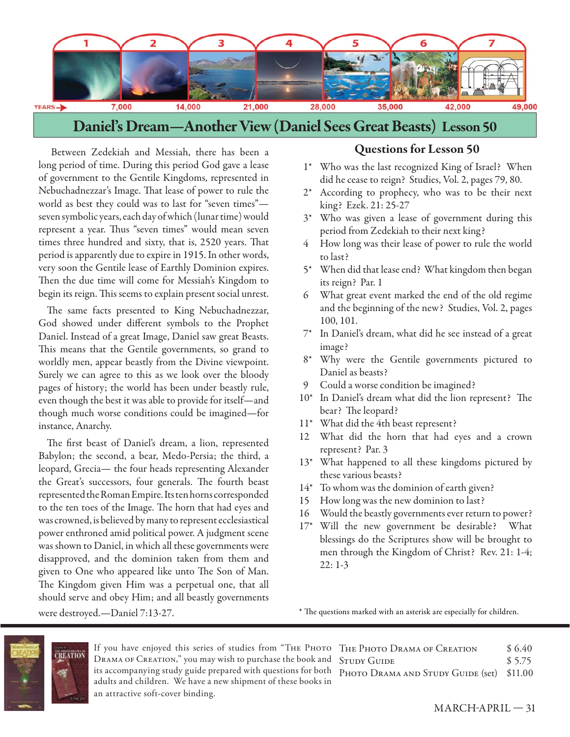

Between Zedekiah and Messiah, there has been a long period of time. During this period God gave a lease of government to the Gentile Kingdoms, represented in Nebuchadnezzar's Image. That lease of power to rule the world as best they could was to last for "seven times" seven symbolic years, each day of which (lunar time) would represent a year. Thus "seven times" would mean seven times three hundred and sixty, that is, 2520 years. That period is apparently due to expire in 1915. In other words, very soon the Gentile lease of Earthly Dominion expires. Then the due time will come for Messiah's Kingdom to begin its reign. This seems to explain present social unrest.

The same facts presented to King Nebuchadnezzar, God showed under different symbols to the Prophet Daniel. Instead of a great Image, Daniel saw great Beasts. This means that the Gentile governments, so grand to worldly men, appear beastly from the Divine viewpoint. Surely we can agree to this as we look over the bloody pages of history; the world has been under beastly rule, even though the best it was able to provide for itself—and though much worse conditions could be imagined—for instance, Anarchy.

The first beast of Daniel's dream, a lion, represented Babylon; the second, a bear, Medo-Persia; the third, a leopard, Grecia— the four heads representing Alexander the Great's successors, four generals. The fourth beast represented the Roman Empire. Its ten horns corresponded to the ten toes of the Image. The horn that had eyes and was crowned, is believed by many to represent ecclesiastical power enthroned amid political power. A judgment scene was shown to Daniel, in which all these governments were disapproved, and the dominion taken from them and given to One who appeared like unto The Son of Man. The Kingdom given Him was a perpetual one, that all should serve and obey Him; and all beastly governments

#### **Questions for Lesson 50**

- 1\* Who was the last recognized King of Israel? When did he cease to reign? Studies, Vol. 2, pages 79, 80.
- 2\* According to prophecy, who was to be their next king? Ezek. 21: 25-27
- 3\* Who was given a lease of government during this period from Zedekiah to their next king?
- How long was their lease of power to rule the world to last?
- 5\* When did that lease end? What kingdom then began its reign? Par. 1
- 6 What great event marked the end of the old regime and the beginning of the new? Studies, Vol. 2, pages 100, 101.
- 7\* In Daniel's dream, what did he see instead of a great image?
- 8\* Why were the Gentile governments pictured to Daniel as beasts?
- 9 Could a worse condition be imagined?
- 10\* In Daniel's dream what did the lion represent? The bear? The leopard?
- 11\* What did the 4th beast represent?
- 12 What did the horn that had eyes and a crown represent? Par. 3
- 13<sup>\*</sup> What happened to all these kingdoms pictured by these various beasts?
- 14\* To whom was the dominion of earth given?
- 15 How long was the new dominion to last?
- 16 Would the beastly governments ever return to power?
- 17\* Will the new government be desirable? What blessings do the Scriptures show will be brought to men through the Kingdom of Christ? Rev. 21: 1-4; 22: 1-3

were destroyed.—Daniel 7:13-27.

\* The questions marked with an asterisk are especially for children.



If you have enjoyed this series of studies from "THE PHOTO DRAMA OF CREATION," you may wish to purchase the book and its accompanying study guide prepared with questions for both adults and children. We have a new shipment of these books in an attractive soft-cover binding.

| THE PHOTO DRAMA OF CREATION               | \$6.40 |
|-------------------------------------------|--------|
| <b>STUDY GUIDE</b>                        | \$5.75 |
| PHOTO DRAMA AND STUDY GUIDE (set) \$11.00 |        |
|                                           |        |